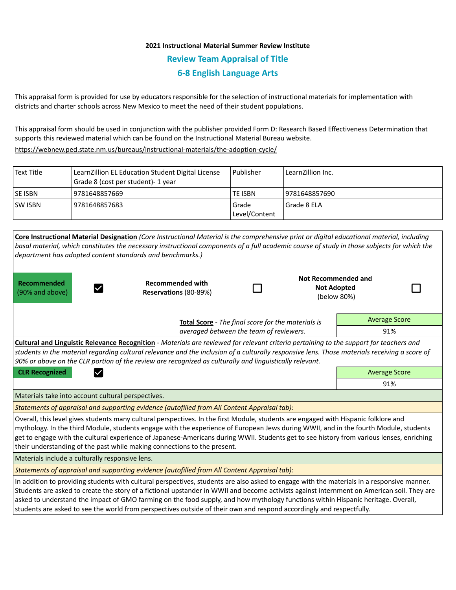## **2021 Instructional Material Summer Review Institute Review Team Appraisal of Title 6-8 English Language Arts**

This appraisal form is provided for use by educators responsible for the selection of instructional materials for implementation with districts and charter schools across New Mexico to meet the need of their student populations.

This appraisal form should be used in conjunction with the publisher provided Form D: Research Based Effectiveness Determination that supports this reviewed material which can be found on the Instructional Material Bureau website.

<https://webnew.ped.state.nm.us/bureaus/instructional-materials/the-adoption-cycle/>

| Text Title      | LearnZillion EL Education Student Digital License<br>Grade 8 (cost per student)- 1 year | Publisher                | LearnZillion Inc. |
|-----------------|-----------------------------------------------------------------------------------------|--------------------------|-------------------|
| <b>ISE ISBN</b> | 9781648857669                                                                           | <b>TE ISBN</b>           | 19781648857690    |
| <b>ISW ISBN</b> | 9781648857683                                                                           | l Grade<br>Level/Content | Grade 8 ELA       |

|                                                                                                                                                                                                                                                                                                                                                                                                                                                                                                                                                      | Core Instructional Material Designation (Core Instructional Material is the comprehensive print or digital educational material, including  |  |     |                                   |  |  |  |
|------------------------------------------------------------------------------------------------------------------------------------------------------------------------------------------------------------------------------------------------------------------------------------------------------------------------------------------------------------------------------------------------------------------------------------------------------------------------------------------------------------------------------------------------------|---------------------------------------------------------------------------------------------------------------------------------------------|--|-----|-----------------------------------|--|--|--|
|                                                                                                                                                                                                                                                                                                                                                                                                                                                                                                                                                      | basal material, which constitutes the necessary instructional components of a full academic course of study in those subjects for which the |  |     |                                   |  |  |  |
|                                                                                                                                                                                                                                                                                                                                                                                                                                                                                                                                                      | department has adopted content standards and benchmarks.)                                                                                   |  |     |                                   |  |  |  |
| <b>Recommended</b>                                                                                                                                                                                                                                                                                                                                                                                                                                                                                                                                   | <b>Recommended with</b>                                                                                                                     |  |     | Not Recommended and               |  |  |  |
| (90% and above)                                                                                                                                                                                                                                                                                                                                                                                                                                                                                                                                      | Reservations (80-89%)                                                                                                                       |  |     | <b>Not Adopted</b><br>(below 80%) |  |  |  |
|                                                                                                                                                                                                                                                                                                                                                                                                                                                                                                                                                      |                                                                                                                                             |  |     |                                   |  |  |  |
|                                                                                                                                                                                                                                                                                                                                                                                                                                                                                                                                                      | Total Score - The final score for the materials is                                                                                          |  |     | <b>Average Score</b>              |  |  |  |
|                                                                                                                                                                                                                                                                                                                                                                                                                                                                                                                                                      | averaged between the team of reviewers.                                                                                                     |  | 91% |                                   |  |  |  |
| <b>Cultural and Linguistic Relevance Recognition</b> - Materials are reviewed for relevant criteria pertaining to the support for teachers and<br>students in the material regarding cultural relevance and the inclusion of a culturally responsive lens. Those materials receiving a score of<br>90% or above on the CLR portion of the review are recognized as culturally and linguistically relevant.                                                                                                                                           |                                                                                                                                             |  |     |                                   |  |  |  |
| <b>CLR Recognized</b>                                                                                                                                                                                                                                                                                                                                                                                                                                                                                                                                | <b>Average Score</b>                                                                                                                        |  |     |                                   |  |  |  |
|                                                                                                                                                                                                                                                                                                                                                                                                                                                                                                                                                      | 91%                                                                                                                                         |  |     |                                   |  |  |  |
| Materials take into account cultural perspectives.                                                                                                                                                                                                                                                                                                                                                                                                                                                                                                   |                                                                                                                                             |  |     |                                   |  |  |  |
| Statements of appraisal and supporting evidence (autofilled from All Content Appraisal tab):                                                                                                                                                                                                                                                                                                                                                                                                                                                         |                                                                                                                                             |  |     |                                   |  |  |  |
| Overall, this level gives students many cultural perspectives. In the first Module, students are engaged with Hispanic folklore and<br>mythology. In the third Module, students engage with the experience of European Jews during WWII, and in the fourth Module, students<br>get to engage with the cultural experience of Japanese-Americans during WWII. Students get to see history from various lenses, enriching<br>their understanding of the past while making connections to the present.                                                  |                                                                                                                                             |  |     |                                   |  |  |  |
| Materials include a culturally responsive lens.                                                                                                                                                                                                                                                                                                                                                                                                                                                                                                      |                                                                                                                                             |  |     |                                   |  |  |  |
| Statements of appraisal and supporting evidence (autofilled from All Content Appraisal tab):                                                                                                                                                                                                                                                                                                                                                                                                                                                         |                                                                                                                                             |  |     |                                   |  |  |  |
| In addition to providing students with cultural perspectives, students are also asked to engage with the materials in a responsive manner.<br>Students are asked to create the story of a fictional upstander in WWII and become activists against internment on American soil. They are<br>asked to understand the impact of GMO farming on the food supply, and how mythology functions within Hispanic heritage. Overall,<br>students are asked to see the world from perspectives outside of their own and respond accordingly and respectfully. |                                                                                                                                             |  |     |                                   |  |  |  |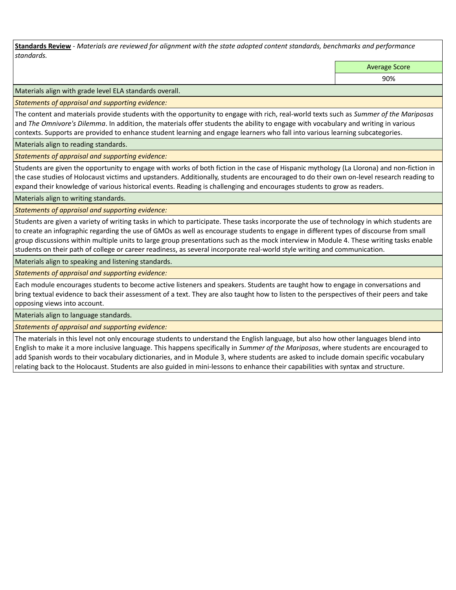**Standards Review** *- Materials are reviewed for alignment with the state adopted content standards, benchmarks and performance standards.*

Average Score

90%

Materials align with grade level ELA standards overall.

*Statements of appraisal and supporting evidence:* 

The content and materials provide students with the opportunity to engage with rich, real-world texts such as *Summer of the Mariposas* and *The Omnivore's Dilemma*. In addition, the materials offer students the ability to engage with vocabulary and writing in various contexts. Supports are provided to enhance student learning and engage learners who fall into various learning subcategories.

Materials align to reading standards.

*Statements of appraisal and supporting evidence:* 

Students are given the opportunity to engage with works of both fiction in the case of Hispanic mythology (La Llorona) and non-fiction in the case studies of Holocaust victims and upstanders. Additionally, students are encouraged to do their own on-level research reading to expand their knowledge of various historical events. Reading is challenging and encourages students to grow as readers.

Materials align to writing standards.

*Statements of appraisal and supporting evidence:* 

Students are given a variety of writing tasks in which to participate. These tasks incorporate the use of technology in which students are to create an infographic regarding the use of GMOs as well as encourage students to engage in different types of discourse from small group discussions within multiple units to large group presentations such as the mock interview in Module 4. These writing tasks enable students on their path of college or career readiness, as several incorporate real-world style writing and communication.

Materials align to speaking and listening standards.

*Statements of appraisal and supporting evidence:* 

Each module encourages students to become active listeners and speakers. Students are taught how to engage in conversations and bring textual evidence to back their assessment of a text. They are also taught how to listen to the perspectives of their peers and take opposing views into account.

Materials align to language standards.

*Statements of appraisal and supporting evidence:* 

The materials in this level not only encourage students to understand the English language, but also how other languages blend into English to make it a more inclusive language. This happens specifically in *Summer of the Mariposas*, where students are encouraged to add Spanish words to their vocabulary dictionaries, and in Module 3, where students are asked to include domain specific vocabulary relating back to the Holocaust. Students are also guided in mini-lessons to enhance their capabilities with syntax and structure.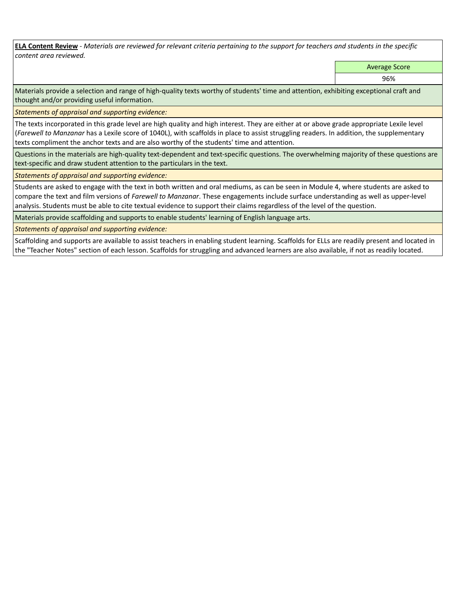**ELA Content Review** *- Materials are reviewed for relevant criteria pertaining to the support for teachers and students in the specific content area reviewed.*

Average Score

96%

Materials provide a selection and range of high-quality texts worthy of students' time and attention, exhibiting exceptional craft and thought and/or providing useful information.

*Statements of appraisal and supporting evidence:* 

The texts incorporated in this grade level are high quality and high interest. They are either at or above grade appropriate Lexile level (*Farewell to Manzanar* has a Lexile score of 1040L), with scaffolds in place to assist struggling readers. In addition, the supplementary texts compliment the anchor texts and are also worthy of the students' time and attention.

Questions in the materials are high-quality text-dependent and text-specific questions. The overwhelming majority of these questions are text-specific and draw student attention to the particulars in the text.

*Statements of appraisal and supporting evidence:* 

Students are asked to engage with the text in both written and oral mediums, as can be seen in Module 4, where students are asked to compare the text and film versions of *Farewell to Manzanar*. These engagements include surface understanding as well as upper-level analysis. Students must be able to cite textual evidence to support their claims regardless of the level of the question.

Materials provide scaffolding and supports to enable students' learning of English language arts.

*Statements of appraisal and supporting evidence:* 

Scaffolding and supports are available to assist teachers in enabling student learning. Scaffolds for ELLs are readily present and located in the "Teacher Notes" section of each lesson. Scaffolds for struggling and advanced learners are also available, if not as readily located.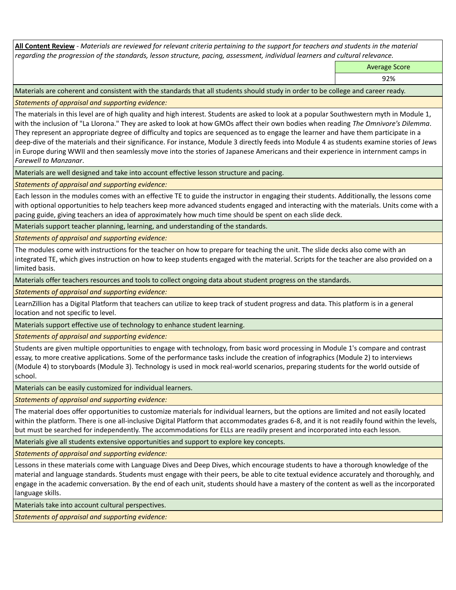**All Content Review** *- Materials are reviewed for relevant criteria pertaining to the support for teachers and students in the material regarding the progression of the standards, lesson structure, pacing, assessment, individual learners and cultural relevance.*

Average Score

92%

Materials are coherent and consistent with the standards that all students should study in order to be college and career ready.

*Statements of appraisal and supporting evidence:*

The materials in this level are of high quality and high interest. Students are asked to look at a popular Southwestern myth in Module 1, with the inclusion of "La Llorona." They are asked to look at how GMOs affect their own bodies when reading *The Omnivore's Dilemma*. They represent an appropriate degree of difficulty and topics are sequenced as to engage the learner and have them participate in a deep-dive of the materials and their significance. For instance, Module 3 directly feeds into Module 4 as students examine stories of Jews in Europe during WWII and then seamlessly move into the stories of Japanese Americans and their experience in internment camps in *Farewell to Manzanar*.

Materials are well designed and take into account effective lesson structure and pacing.

*Statements of appraisal and supporting evidence:*

Each lesson in the modules comes with an effective TE to guide the instructor in engaging their students. Additionally, the lessons come with optional opportunities to help teachers keep more advanced students engaged and interacting with the materials. Units come with a pacing guide, giving teachers an idea of approximately how much time should be spent on each slide deck.

Materials support teacher planning, learning, and understanding of the standards.

*Statements of appraisal and supporting evidence:*

The modules come with instructions for the teacher on how to prepare for teaching the unit. The slide decks also come with an integrated TE, which gives instruction on how to keep students engaged with the material. Scripts for the teacher are also provided on a limited basis.

Materials offer teachers resources and tools to collect ongoing data about student progress on the standards.

*Statements of appraisal and supporting evidence:*

LearnZillion has a Digital Platform that teachers can utilize to keep track of student progress and data. This platform is in a general location and not specific to level.

Materials support effective use of technology to enhance student learning.

*Statements of appraisal and supporting evidence:*

Students are given multiple opportunities to engage with technology, from basic word processing in Module 1's compare and contrast essay, to more creative applications. Some of the performance tasks include the creation of infographics (Module 2) to interviews (Module 4) to storyboards (Module 3). Technology is used in mock real-world scenarios, preparing students for the world outside of school.

Materials can be easily customized for individual learners.

*Statements of appraisal and supporting evidence:* 

The material does offer opportunities to customize materials for individual learners, but the options are limited and not easily located within the platform. There is one all-inclusive Digital Platform that accommodates grades 6-8, and it is not readily found within the levels, but must be searched for independently. The accommodations for ELLs are readily present and incorporated into each lesson.

Materials give all students extensive opportunities and support to explore key concepts.

*Statements of appraisal and supporting evidence:*

Lessons in these materials come with Language Dives and Deep Dives, which encourage students to have a thorough knowledge of the material and language standards. Students must engage with their peers, be able to cite textual evidence accurately and thoroughly, and engage in the academic conversation. By the end of each unit, students should have a mastery of the content as well as the incorporated language skills.

Materials take into account cultural perspectives.

*Statements of appraisal and supporting evidence:*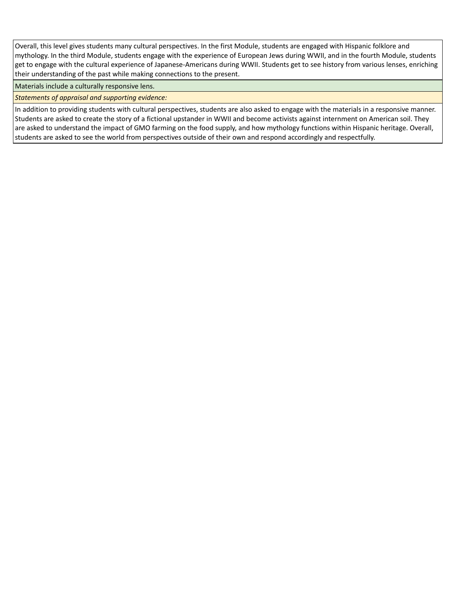Overall, this level gives students many cultural perspectives. In the first Module, students are engaged with Hispanic folklore and mythology. In the third Module, students engage with the experience of European Jews during WWII, and in the fourth Module, students get to engage with the cultural experience of Japanese-Americans during WWII. Students get to see history from various lenses, enriching their understanding of the past while making connections to the present.

Materials include a culturally responsive lens.

*Statements of appraisal and supporting evidence:*

In addition to providing students with cultural perspectives, students are also asked to engage with the materials in a responsive manner. Students are asked to create the story of a fictional upstander in WWII and become activists against internment on American soil. They are asked to understand the impact of GMO farming on the food supply, and how mythology functions within Hispanic heritage. Overall, students are asked to see the world from perspectives outside of their own and respond accordingly and respectfully.